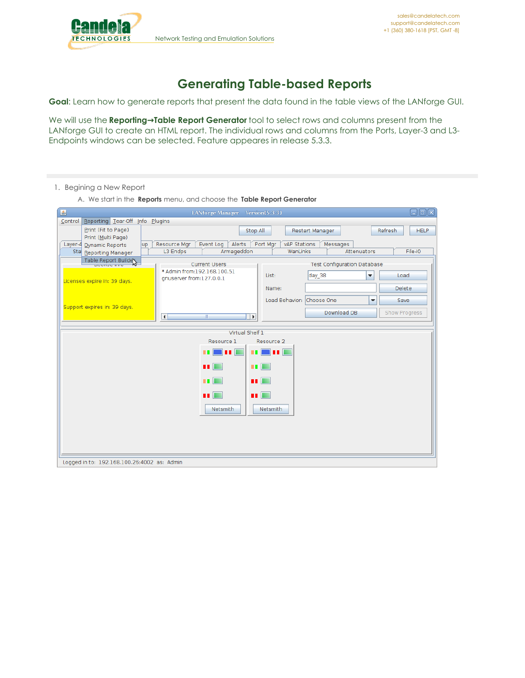

## **Generating Table-based Reports**

**Goal**: Learn how to generate reports that present the data found in the table views of the LANforge GUI.

We will use the **Reporting→Table Report Generator** tool to select rows and columns present from the LANforge GUI to create an HTML report. The individual rows and columns from the Ports, Layer-3 and L3- Endpoints windows can be selected. Feature appeares in release 5.3.3.

- 1. Begining a New Report
	- A. We start in the **Reports** menu, and choose the **Table Report Generator**

| 圖                                           | LANforge Manager Version(5.3.3)                               |                                                                        | $\Box$ o $\boxtimes$   |  |
|---------------------------------------------|---------------------------------------------------------------|------------------------------------------------------------------------|------------------------|--|
| Control Reporting Tear-Off Info Plugins     |                                                               |                                                                        |                        |  |
| Print (Fit to Page)                         | Stop All                                                      | Restart Manager                                                        | Refresh<br><b>HELP</b> |  |
| Print (Multi Page)                          |                                                               |                                                                        |                        |  |
| Layer-4 Dynamic Reports<br>lup              | Alerts<br>Resource Mgr<br>Event Log<br>Armageddon<br>L3 Endps | Port Mgr<br><b>vAP Stations</b><br>Messages<br>Attenuators<br>WanLinks | File-IO                |  |
| Sta Reporting Manager                       |                                                               |                                                                        |                        |  |
| Table Report Builde                         | <b>Current Users</b>                                          | <b>Test Configuration Database</b>                                     |                        |  |
|                                             | * Admin from:192.168.100.51                                   | day 38<br>List:<br>▼                                                   | Load                   |  |
| Licenses expire in: 39 days.                | gnuserver from:127.0.0.1                                      |                                                                        |                        |  |
|                                             |                                                               | Name:                                                                  | Delete                 |  |
|                                             |                                                               | Load Behavior: Choose One<br>$\overline{\phantom{a}}$                  | Save                   |  |
| Support expires in: 39 days.                |                                                               | Download DB                                                            | Show Progress          |  |
|                                             | $\overline{\blacksquare}$<br>$\blacktriangleright$<br>W.      |                                                                        |                        |  |
|                                             | Virtual Shelf 1                                               |                                                                        |                        |  |
|                                             | Resource 1                                                    | Resource 2                                                             |                        |  |
|                                             |                                                               |                                                                        |                        |  |
|                                             | - 11                                                          | n poli                                                                 |                        |  |
| m.<br>п.<br><b>THE REA</b>                  |                                                               |                                                                        |                        |  |
|                                             |                                                               |                                                                        |                        |  |
|                                             | <b>HD</b>                                                     | 88 L.                                                                  |                        |  |
|                                             | n E                                                           | <b>TELES</b>                                                           |                        |  |
|                                             |                                                               |                                                                        |                        |  |
|                                             | Netsmith                                                      | Netsmith                                                               |                        |  |
|                                             |                                                               |                                                                        |                        |  |
|                                             |                                                               |                                                                        |                        |  |
|                                             |                                                               |                                                                        |                        |  |
|                                             |                                                               |                                                                        |                        |  |
|                                             |                                                               |                                                                        |                        |  |
| Logged in to: 192.168.100.26:4002 as: Admin |                                                               |                                                                        |                        |  |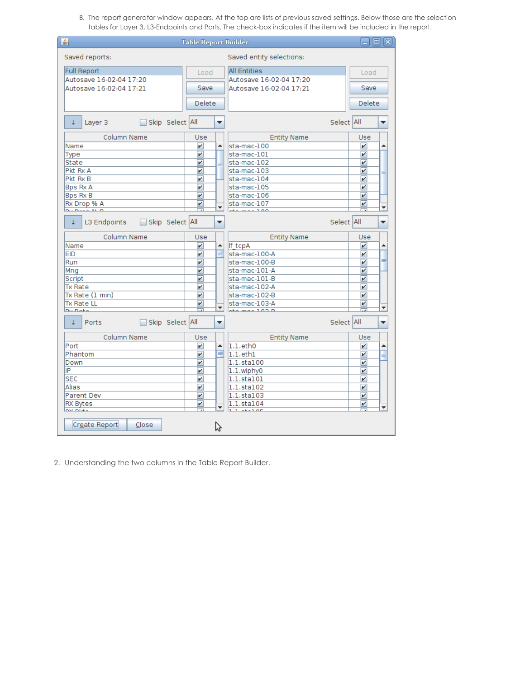B. The report generator window appears. At the top are lists of previous saved settings. Below those are the selection tables for Layer 3, L3-Endpoints and Ports. The check-box indicates if the item will be included in the report.

| 画                                                                                  | <b>Table Report Builder</b> |        |                                        | ьI                      | 10 X |
|------------------------------------------------------------------------------------|-----------------------------|--------|----------------------------------------|-------------------------|------|
| Saved reports:                                                                     |                             |        | Saved entity selections:               |                         |      |
| <b>Full Report</b>                                                                 | Load                        |        | <b>All Entities</b>                    | Load                    |      |
| Autosave 16-02-04 17:20                                                            |                             |        | Autosave 16-02-04 17:20                |                         |      |
| Autosave 16-02-04 17:21                                                            | Save                        |        | Autosave 16-02-04 17:21                | Save                    |      |
|                                                                                    | Delete                      |        |                                        | Delete                  |      |
|                                                                                    |                             |        |                                        |                         |      |
| Skip Select All<br>T<br>Layer 3                                                    |                             | ▼      |                                        | Select All              | ▼    |
| Column Name                                                                        | Use                         |        | <b>Entity Name</b>                     | Use                     |      |
| Name                                                                               | V                           | ۸      | sta-mac-100                            | v                       | ۸    |
| Type                                                                               | V                           |        | sta-mac-101                            | v                       |      |
| State                                                                              | V                           |        | sta-mac-102                            | V                       |      |
| Pkt Rx A                                                                           | V                           |        | sta-mac-103                            | V                       |      |
| Pkt Rx B                                                                           | V                           |        | sta-mac-104                            | V                       |      |
| Bps Rx A                                                                           | V                           |        | sta-mac-105                            | V                       |      |
| Bps Rx B                                                                           | V                           |        | sta-mac-106                            | V                       |      |
| Rx Drop % A<br>$D_{\text{tot}}$ $D_{\text{max}}$ $D_{\text{tot}}$ $D_{\text{tot}}$ | V                           | ▼      | sta-mac-107<br>$+ - - - - - - - - - -$ | V                       | ٠    |
| Skip Select All<br>T<br>L3 Endpoints                                               |                             | ▼      |                                        | Select All              | v    |
| Column Name                                                                        | Use                         |        | <b>Entity Name</b>                     | Use                     |      |
| Name<br><b>EID</b>                                                                 | V<br>v                      | ▲<br>≡ | lf tcpA                                | V                       | ۰    |
| Run                                                                                | V                           |        | sta-mac-100-A<br>sta-mac-100-B         | V<br>V                  | ≡    |
| Mng                                                                                | V                           |        | sta-mac-101-A                          | V                       |      |
| Script                                                                             | V                           |        | sta-mac-101-B                          | V                       |      |
| <b>Tx Rate</b>                                                                     | V                           |        | sta-mac-102-A                          | v                       |      |
| Tx Rate (1 min)                                                                    | V                           |        | sta-mac-102-B                          | V                       |      |
| <b>Tx Rate LL</b>                                                                  | v                           |        | sta-mac-103-A                          | V                       |      |
| Dy Doto                                                                            |                             | ÷      | ata mas 1.02.D                         |                         | ٠    |
| Skip Select All<br>¢.<br>Ports                                                     |                             | ▼      |                                        | Select All              | ▼    |
| Column Name                                                                        | Use                         |        | <b>Entity Name</b>                     | Use                     |      |
| Port                                                                               | V                           | ۸      | $1.1.$ eth $0$                         | v                       | ۰    |
| Phantom                                                                            | V                           | ≡      | $1.1.$ eth $1$                         | V                       | ≡    |
| Down                                                                               | V                           |        | 1.1.sta100                             | V                       |      |
| IP                                                                                 | V                           |        | 1.1.wiphy0                             | V                       |      |
| <b>SEC</b>                                                                         | $\overline{\mathbf{v}}$     |        | 1.1.sta101                             | V                       |      |
| Alias                                                                              | V                           |        | 1.1.sta102                             | $\overline{\mathbf{v}}$ |      |
| Parent Dev                                                                         | V                           |        | 1.1.sta103                             | v                       |      |
| <b>RX Bytes</b><br>$mx = 1 + 1$                                                    | V<br>고                      | ▼      | 1.1.sta104<br>$3 - 22 - 30$            | V                       | ٠    |
| Create Report<br>Close                                                             |                             | パ      |                                        |                         |      |

2. Understanding the two columns in the Table Report Builder.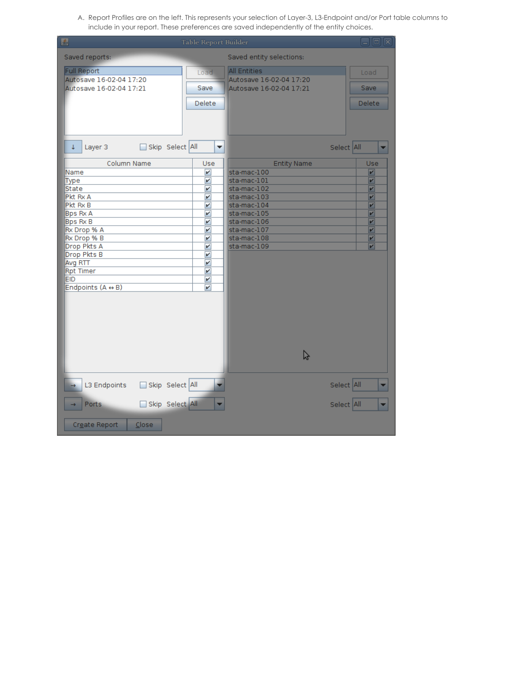A. Report Profiles are on the left. This represents your selection of Layer-3, L3-Endpoint and/or Port table columns to include in your report. These preferences are saved independently of the entity choices.

| 国                                                                                                                                                                                                                                | <b>Table Report Builder</b>                                                                                                |                                                                                                                                                                          | $\Box$ ok                                                                                         |
|----------------------------------------------------------------------------------------------------------------------------------------------------------------------------------------------------------------------------------|----------------------------------------------------------------------------------------------------------------------------|--------------------------------------------------------------------------------------------------------------------------------------------------------------------------|---------------------------------------------------------------------------------------------------|
| Saved reports:                                                                                                                                                                                                                   |                                                                                                                            | Saved entity selections:                                                                                                                                                 |                                                                                                   |
| <b>Full Report</b><br>Autosave 16-02-04 17:20<br>Autosave 16-02-04 17:21                                                                                                                                                         | Load<br>Save<br><b>Delete</b>                                                                                              | <b>All Entities</b><br>Autosave 16-02-04 17:20<br>Autosave 16-02-04 17:21                                                                                                | Load<br>Save<br><b>Delete</b>                                                                     |
| Skip Select All<br>Layer 3<br>¢.                                                                                                                                                                                                 | ▼                                                                                                                          |                                                                                                                                                                          | Select All                                                                                        |
| Column Name<br>Name<br>Type<br>State<br>Pkt Rx A<br>Pkt Rx B<br><b>Bps Rx A</b><br><b>Bps Rx B</b><br>Rx Drop % A<br>Rx Drop % B<br>Drop Pkts A<br>Drop Pkts B<br>Avg RTT<br><b>Rpt Timer</b><br><b>EID</b><br>Endpoints (A + B) | Use<br>$\overline{\mathbf{r}}$<br>V<br>V<br>V<br>V<br>V<br>V<br>V<br>V<br>V<br>V<br>V<br>V<br>V<br>$\overline{\mathbf{v}}$ | <b>Entity Name</b><br>sta-mac-100<br>sta-mac-101<br>sta-mac-102<br>sta-mac-103<br>sta-mac-104<br>sta-mac-105<br>sta-mac-106<br>sta-mac-107<br>sta-mac-108<br>sta-mac-109 | Use<br>$\overline{\mathbf{r}}$<br>V<br>V<br>V<br>V<br>$\overline{\mathbf{r}}$<br>V<br>Z<br>V<br>V |
|                                                                                                                                                                                                                                  |                                                                                                                            | ピ                                                                                                                                                                        |                                                                                                   |
| Skip Select All<br>L3 Endpoints                                                                                                                                                                                                  |                                                                                                                            |                                                                                                                                                                          | Select All<br>٠                                                                                   |
| Skip Select All<br>Ports                                                                                                                                                                                                         | ٠                                                                                                                          |                                                                                                                                                                          | Select All<br>÷                                                                                   |
| Close<br>Create Report                                                                                                                                                                                                           |                                                                                                                            |                                                                                                                                                                          |                                                                                                   |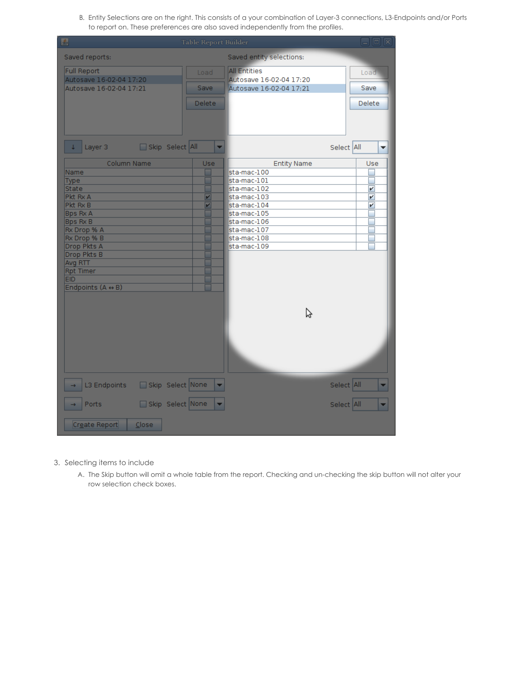B. Entity Selections are on the right. This consists of a your combination of Layer-3 connections, L3-Endpoints and/or Ports to report on. These preferences are also saved independently from the profiles.

| 国                                | <b>Table Report Builder</b> |                            | $\Box$ e $\bm{\mathsf{X}}$ |
|----------------------------------|-----------------------------|----------------------------|----------------------------|
| Saved reports:                   |                             | Saved entity selections:   |                            |
| <b>Full Report</b>               | Load                        | <b>All Entities</b>        | Load                       |
| Autosave 16-02-04 17:20          |                             | Autosave 16-02-04 17:20    |                            |
| Autosave 16-02-04 17:21          | <b>Save</b>                 | Autosave 16-02-04 17:21    | Save                       |
|                                  | <b>Delete</b>               |                            | Delete                     |
|                                  |                             |                            |                            |
|                                  |                             |                            |                            |
|                                  |                             |                            |                            |
| Skip Select All<br>Layer 3       | ۰                           |                            | Select All<br>▼            |
| Column Name                      | Use                         | <b>Entity Name</b>         | Use                        |
| Name                             |                             | sta-mac-100                |                            |
| <b>Type</b>                      |                             | sta-mac-101                |                            |
| <b>State</b><br>Pkt Rx A         | V                           | sta-mac-102<br>sta-mac-103 | V<br>v                     |
| Pkt Rx B                         | V                           | sta-mac-104                | V                          |
| <b>Bps Rx A</b>                  |                             | sta-mac-105                |                            |
| <b>Bps Rx B</b>                  |                             | sta-mac-106                |                            |
| Rx Drop % A                      |                             | sta-mac-107                |                            |
| Rx Drop % B                      |                             | sta-mac-108                |                            |
| Drop Pkts A                      |                             | sta-mac-109                |                            |
| Drop Pkts B                      |                             |                            |                            |
| Avg RTT                          |                             |                            |                            |
| <b>Rpt Timer</b><br><b>EID</b>   |                             |                            |                            |
| Endpoints (A ↔ B)                |                             |                            |                            |
|                                  |                             |                            |                            |
|                                  |                             |                            |                            |
|                                  |                             | グ                          |                            |
|                                  |                             |                            |                            |
|                                  |                             |                            |                            |
|                                  |                             |                            |                            |
|                                  |                             |                            |                            |
|                                  |                             |                            |                            |
|                                  |                             |                            |                            |
| Skip Select None<br>L3 Endpoints |                             |                            | Select All                 |
| Skip Select None<br>Ports        |                             |                            | Select All                 |
|                                  |                             |                            |                            |
| Create Report<br>Close           |                             |                            |                            |

- 3. Selecting items to include
	- A. The Skip button will omit a whole table from the report. Checking and un-checking the skip button will not alter your row selection check boxes.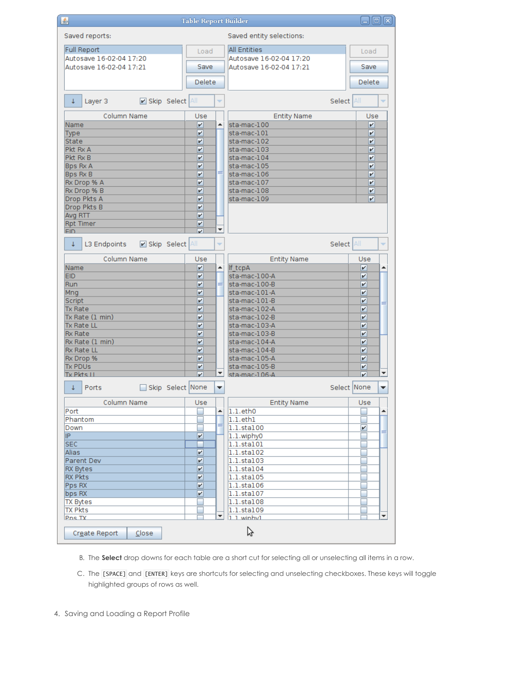| $\Box$ o $\mathbf x$<br>画<br><b>Table Report Builder</b> |                              |                  |                          |                                   |
|----------------------------------------------------------|------------------------------|------------------|--------------------------|-----------------------------------|
| Saved reports:                                           |                              |                  | Saved entity selections: |                                   |
| <b>Full Report</b>                                       | Load                         |                  | <b>All Entities</b>      | Load                              |
| Autosave 16-02-04 17:20                                  |                              |                  | Autosave 16-02-04 17:20  |                                   |
| Autosave 16-02-04 17:21                                  | Save                         |                  | Autosave 16-02-04 17:21  | Save                              |
|                                                          | Delete                       |                  |                          | Delete                            |
| Skip Select All<br>¢<br>Layer 3                          |                              | ÷                |                          | Select All                        |
| Column Name                                              | Use                          |                  | <b>Entity Name</b>       | Use                               |
| Name                                                     | V                            | ▲                | sta-mac-100              | V                                 |
| Type                                                     | V                            |                  | sta-mac-101              | V                                 |
| <b>State</b>                                             | V                            |                  | sta-mac-102              | V                                 |
| Pkt Rx A                                                 | V                            |                  | sta-mac-103              | V                                 |
| Pkt Rx B                                                 | V                            |                  | sta-mac-104              | V                                 |
| <b>Bps Rx A</b>                                          | V                            |                  | sta-mac-105              | V                                 |
| Bps Rx B                                                 | v                            | ≡                | sta-mac-106              | V                                 |
| Rx Drop % A                                              | V                            |                  | sta-mac-107              | V                                 |
| Rx Drop % B                                              | V                            |                  | sta-mac-108              | V                                 |
| Drop Pkts A                                              | V                            |                  | sta-mac-109              | V                                 |
| Drop Pkts B                                              | V                            |                  |                          |                                   |
| Avg RTT                                                  | v                            |                  |                          |                                   |
| <b>Rpt Timer</b><br><b>FID</b>                           | V<br>$\overline{\mathbf{v}}$ | ٠                |                          |                                   |
| Skip Select All<br>¢<br>L3 Endpoints                     |                              | ÷                |                          | Select All<br>÷                   |
| Column Name                                              | Use                          |                  | <b>Entity Name</b>       | Use                               |
| Name                                                     | V                            | $\blacktriangle$ | If_tcpA                  | V<br>▲                            |
| <b>EID</b>                                               | V                            |                  | sta-mac-100-A            | V                                 |
| Run                                                      | V                            | ≡                | sta-mac-100-B            | V                                 |
| Mng                                                      | V                            |                  | sta-mac-101-A            | V                                 |
| Script                                                   | V                            |                  | sta-mac-101-B            | V                                 |
| <b>Tx Rate</b>                                           | V                            |                  | sta-mac-102-A            | V                                 |
| Tx Rate (1 min)                                          | V                            |                  | sta-mac-102-B            | V                                 |
| <b>Tx Rate LL</b>                                        | V                            |                  | sta-mac-103-A            | V                                 |
| <b>Rx Rate</b>                                           | V                            |                  | sta-mac-103-B            | V                                 |
| Rx Rate (1 min)                                          | V                            |                  | sta-mac-104-A            | V                                 |
| <b>Rx Rate LL</b>                                        | V                            |                  | sta-mac-104-B            | V                                 |
| Rx Drop %                                                | V                            |                  | sta-mac-105-A            | V                                 |
| <b>Tx PDUs</b><br>Tx Pkts II                             | V<br>$\overline{\mathbf{v}}$ | ۰                | sta-mac-105-B            | V<br>٠<br>$\overline{\mathbf{v}}$ |
| Skip Select None<br>$\downarrow$<br>Ports                |                              | ▼                | sta-mac-106-A            | Select None<br>▼                  |
| Column Name                                              | Use                          |                  | <b>Entity Name</b>       | Use                               |
| Port                                                     |                              | ▲                | $ 1.1$ .eth $0$          | ┻                                 |
| Phantom                                                  |                              |                  | $1.1.$ eth $1$           |                                   |
| Down                                                     |                              | ≡                | 1.1.sta100               | V<br>=                            |
| IP.                                                      | V                            |                  | 1.1.wiphy0               |                                   |
| <b>SEC</b>                                               |                              |                  | 1.1.sta101               |                                   |
| Alias                                                    | V                            |                  | 1.1.sta102               |                                   |
| Parent Dev                                               | v                            |                  | 1.1.sta103               |                                   |
| <b>RX Bytes</b>                                          | v                            |                  | 1.1.sta104               |                                   |
| <b>RX Pkts</b>                                           | v                            |                  | 1.1.sta105               |                                   |
| Pps RX                                                   | v                            |                  | 1.1.sta106               |                                   |
| bps RX                                                   | v                            |                  | 1.1.sta107               |                                   |
| <b>TX Bytes</b>                                          |                              |                  | 1.1.sta108               |                                   |
| TX Pkts                                                  |                              |                  | 1.1.sta109               |                                   |
| Pns TX                                                   |                              |                  | $1$ 1 winhv1             |                                   |
| Create Report<br>Close                                   |                              |                  | プ                        |                                   |

B. The **Select** drop downs for each table are a short cut for selecting all or unselecting all items in a row.

C. The [SPACE] and [ENTER] keys are shortcuts for selecting and unselecting checkboxes. These keys will toggle highlighted groups of rows as well.

4. Saving and Loading a Report Profile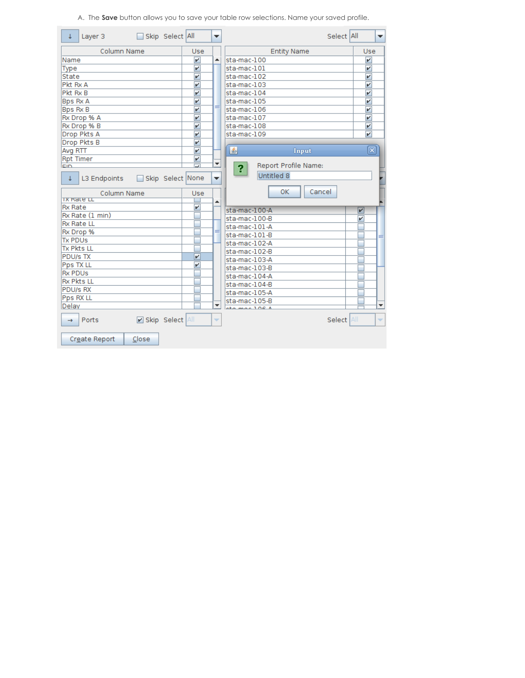A. The **Save** button allows you to save your table row selections. Name your saved profile.

| Skip Select All<br>Layer 3<br>t       |                         | ▼                        | Select All                | ▼                        |
|---------------------------------------|-------------------------|--------------------------|---------------------------|--------------------------|
| Column Name                           | Use                     |                          | <b>Entity Name</b>        | Use                      |
| Name                                  | $\overline{\mathbf{v}}$ | ۸                        | sta-mac-100               | V                        |
| Type                                  | V                       |                          | sta-mac-101               | $\overline{\mathbf{v}}$  |
| State                                 | $\overline{\mathbf{v}}$ |                          | sta-mac-102               | $\overline{\mathbf{r}}$  |
| Pkt Rx A                              | $\overline{\mathbf{v}}$ |                          | sta-mac-103               | $\overline{\mathbf{v}}$  |
| Pkt Rx B                              | $\overline{\mathbf{v}}$ |                          | sta-mac-104               | $\overline{\mathbf{v}}$  |
| Bps Rx A                              | V                       |                          | sta-mac-105               | v                        |
| <b>Bps Rx B</b>                       | v                       | ≡                        | sta-mac-106               | v                        |
| Rx Drop % A                           | v                       |                          | sta-mac-107               | v                        |
| Rx Drop % B                           | v                       |                          | sta-mac-108               | v                        |
| Drop Pkts A                           | v                       |                          | sta-mac-109               | $\overline{\mathbf{v}}$  |
| Drop Pkts B                           | v                       |                          |                           |                          |
| Avg RTT                               | v                       |                          | 鸟<br>Input                | ×                        |
| <b>Rpt Timer</b>                      | V                       |                          |                           |                          |
| cin                                   |                         | ٠                        | Report Profile Name:<br>? |                          |
| Skip Select None<br>L3 Endpoints<br>T |                         | ▼                        | Untitled 8                |                          |
| Column Name                           | Use                     |                          | Cancel<br>0K.             |                          |
| <u>ix Rate Lu</u>                     |                         | ▲                        |                           |                          |
| <b>Rx Rate</b>                        | $\overline{\mathbf{v}}$ |                          | sta-mac-100-A             | $\overline{\mathbf{v}}$  |
| Rx Rate (1 min)                       |                         |                          | sta-mac-100-B             | v                        |
| <b>Rx Rate LL</b>                     |                         |                          | sta-mac-101-A             |                          |
| Rx Drop %                             |                         |                          | sta-mac-101-B             |                          |
| <b>Tx PDUs</b>                        |                         |                          | sta-mac-102-A             |                          |
| <b>Tx Pkts LL</b>                     |                         |                          | sta-mac-102-B             |                          |
| <b>PDU/s TX</b>                       | v                       |                          | sta-mac-103-A             |                          |
| Pps TX LL<br><b>Rx PDUs</b>           | v                       |                          | sta-mac-103-B             |                          |
| <b>Rx Pkts LL</b>                     |                         |                          | sta-mac-104-A             |                          |
| <b>PDU/s RX</b>                       |                         |                          | sta-mac-104-B             |                          |
| Pps RX LL                             |                         |                          | sta-mac-105-A             |                          |
| Delay                                 |                         | ▼                        | sta-mac-105-B             | $\overline{\phantom{a}}$ |
|                                       |                         |                          | the most 106 <sub>h</sub> |                          |
| Skip Select All<br>Ports<br>→         |                         | $\overline{\phantom{a}}$ | Select All                | ÷                        |
| Create Report<br>Close                |                         |                          |                           |                          |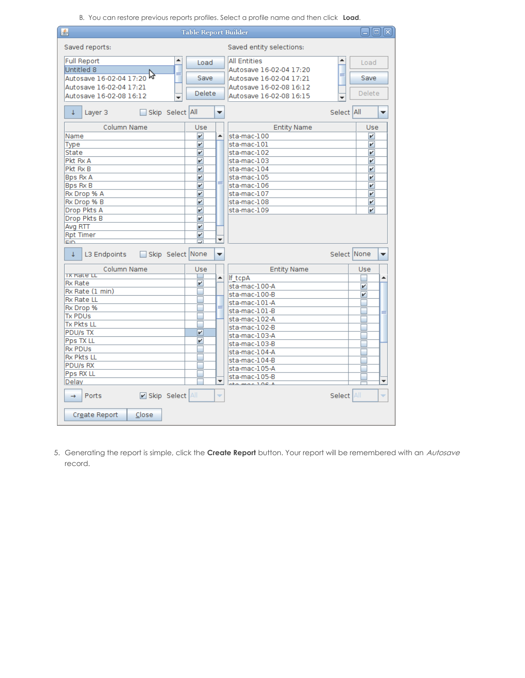B. You can restore previous reports profiles. Select a profile name and then click **Load**.

| 画                                     | <b>Table Report Builder</b>  |                                            | <b>同区</b>                 |
|---------------------------------------|------------------------------|--------------------------------------------|---------------------------|
| Saved reports:                        |                              | Saved entity selections:                   |                           |
| Full Report<br>▲                      | Load                         | <b>All Entities</b>                        | ▲<br>Load                 |
| Untitled 8<br>≡                       |                              | Autosave 16-02-04 17:20                    |                           |
| M,<br>Autosave 16-02-04 17:20         | Save                         | Autosave 16-02-04 17:21                    | ≡<br>Save                 |
| Autosave 16-02-04 17:21               |                              | Autosave 16-02-08 16:12                    |                           |
| Autosave 16-02-08 16:12               | Delete                       | Autosave 16-02-08 16:15                    | Delete                    |
| Skip Select All<br>Layer 3<br>¢.      | ▼                            |                                            | Select All<br>▼           |
| Column Name                           | Use                          | <b>Entity Name</b>                         | Use                       |
| Name                                  | $\overline{\mathbf{v}}$<br>▲ | $sta$ -mac- $100$                          | v                         |
| Type                                  | V                            | sta-mac-101                                | v                         |
| <b>State</b>                          | V                            | sta-mac-102                                | V                         |
| Pkt Rx A                              | V                            | sta-mac-103                                | V                         |
| Pkt Rx B                              | v                            | sta-mac-104                                | $\overline{\mathbf{v}}$   |
| <b>Bps Rx A</b>                       | $\overline{\mathbf{v}}$      | sta-mac-105                                | v                         |
| <b>Bps Rx B</b>                       | $\overline{\mathbf{v}}$      | sta-mac-106                                | ↙                         |
| Rx Drop % A                           | V                            | sta-mac-107                                | V                         |
| Rx Drop % B                           | V                            | sta-mac-108                                | v                         |
| Drop Pkts A                           | V                            | sta-mac-109                                | V                         |
| Drop Pkts B                           | V                            |                                            |                           |
| Avg RTT                               | $\overline{\mathbf{v}}$      |                                            |                           |
| <b>Rpt Timer</b>                      | V<br>٠                       |                                            |                           |
| EID                                   |                              |                                            |                           |
| Skip Select None<br>L3 Endpoints<br>T | ▼                            |                                            | Select None<br>v          |
| Column Name<br><b>TX Rate LL</b>      | Use                          | <b>Entity Name</b>                         | Use                       |
| <b>Rx Rate</b>                        | ▲<br>$\overline{\mathbf{v}}$ | If tcpA                                    | ▲                         |
| Rx Rate (1 min)                       |                              | sta-mac-100-A                              | v                         |
| <b>Rx Rate LL</b>                     |                              | sta-mac-100-B                              | v                         |
| Rx Drop %                             |                              | sta-mac-101-A                              |                           |
| <b>Tx PDUs</b>                        |                              | sta-mac-101-B                              |                           |
| <b>Tx Pkts LL</b>                     |                              | sta-mac-102-A                              |                           |
| <b>PDU/s TX</b>                       | V                            | sta-mac-102-B                              |                           |
| Pps TX LL                             | v                            | sta-mac-103-A                              |                           |
| <b>Rx PDUs</b>                        |                              | sta-mac-103-B                              |                           |
| <b>Rx Pkts LL</b>                     |                              | sta-mac-104-A                              |                           |
| PDU/s RX                              |                              | sta-mac-104-B                              |                           |
| Pps RX LL                             |                              | sta-mac-105-A                              |                           |
| Delay                                 | ▼                            | sta-mac-105-B<br>the most 106 <sub>h</sub> | ▼                         |
| Skip Select All<br>Ports<br>→         | ÷                            |                                            | <b>All</b><br>Select<br>÷ |
| Create Report<br>Close                |                              |                                            |                           |

5. Generating the report is simple, click the **Create Report** button. Your report will be remembered with an Autosave record.